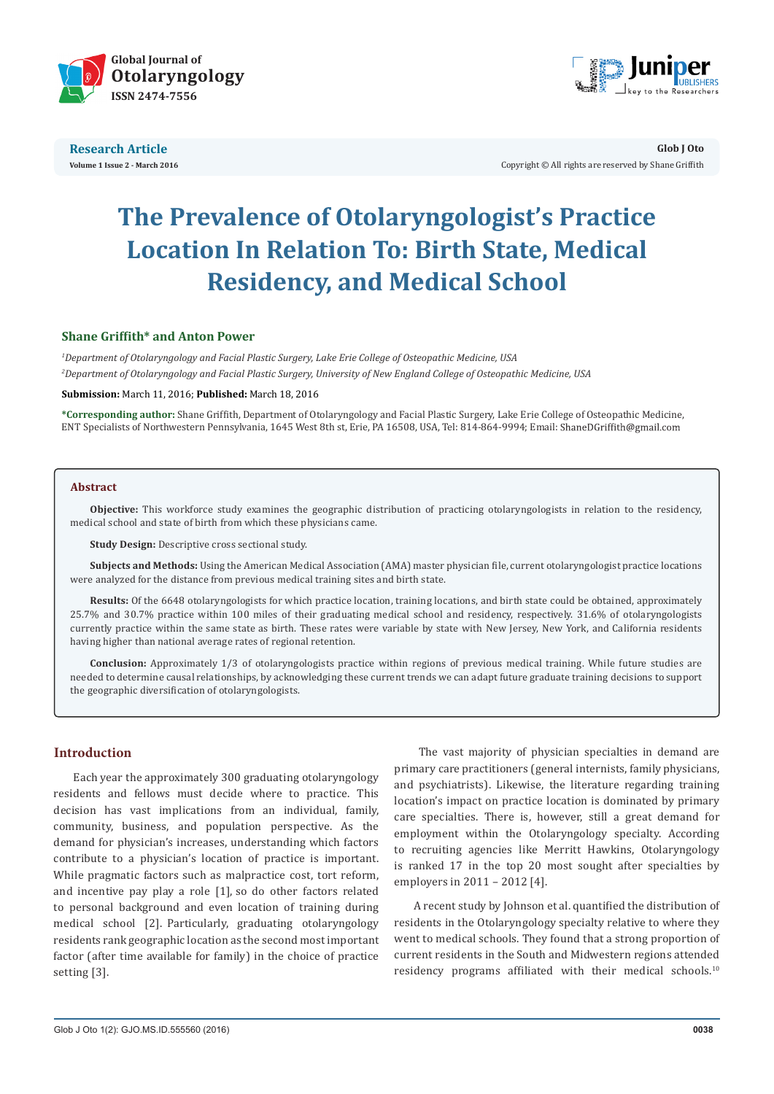



**Glob J Oto** Copyright © All rights are reserved by Shane Griffith

# **The Prevalence of Otolaryngologist's Practice Location In Relation To: Birth State, Medical Residency, and Medical School**

# **Shane Griffith\* and Anton Power**

*1 Department of Otolaryngology and Facial Plastic Surgery, Lake Erie College of Osteopathic Medicine, USA 2 Department of Otolaryngology and Facial Plastic Surgery, University of New England College of Osteopathic Medicine, USA*

#### **Submission:** March 11, 2016; **Published:** March 18, 2016

**\*Corresponding author:** Shane Griffith, Department of Otolaryngology and Facial Plastic Surgery, Lake Erie College of Osteopathic Medicine, ENT Specialists of Northwestern Pennsylvania, 1645 West 8th st, Erie, PA 16508, USA, Tel: 814-864-9994; Email:

#### **Abstract**

**Objective:** This workforce study examines the geographic distribution of practicing otolaryngologists in relation to the residency, medical school and state of birth from which these physicians came.

**Study Design:** Descriptive cross sectional study.

**Subjects and Methods:** Using the American Medical Association (AMA) master physician file, current otolaryngologist practice locations were analyzed for the distance from previous medical training sites and birth state.

**Results:** Of the 6648 otolaryngologists for which practice location, training locations, and birth state could be obtained, approximately 25.7% and 30.7% practice within 100 miles of their graduating medical school and residency, respectively. 31.6% of otolaryngologists currently practice within the same state as birth. These rates were variable by state with New Jersey, New York, and California residents having higher than national average rates of regional retention.

**Conclusion:** Approximately 1/3 of otolaryngologists practice within regions of previous medical training. While future studies are needed to determine causal relationships, by acknowledging these current trends we can adapt future graduate training decisions to support the geographic diversification of otolaryngologists.

#### **Introduction**

Each year the approximately 300 graduating otolaryngology residents and fellows must decide where to practice. This decision has vast implications from an individual, family, community, business, and population perspective. As the demand for physician's increases, understanding which factors contribute to a physician's location of practice is important. While pragmatic factors such as malpractice cost, tort reform, and incentive pay play a role [1], so do other factors related to personal background and even location of training during medical school [2]. Particularly, graduating otolaryngology residents rank geographic location as the second most important factor (after time available for family) in the choice of practice setting [3].

 The vast majority of physician specialties in demand are primary care practitioners (general internists, family physicians, and psychiatrists). Likewise, the literature regarding training location's impact on practice location is dominated by primary care specialties. There is, however, still a great demand for employment within the Otolaryngology specialty. According to recruiting agencies like Merritt Hawkins, Otolaryngology is ranked 17 in the top 20 most sought after specialties by employers in 2011 – 2012 [4].

A recent study by Johnson et al. quantified the distribution of residents in the Otolaryngology specialty relative to where they went to medical schools. They found that a strong proportion of current residents in the South and Midwestern regions attended residency programs affiliated with their medical schools.<sup>10</sup>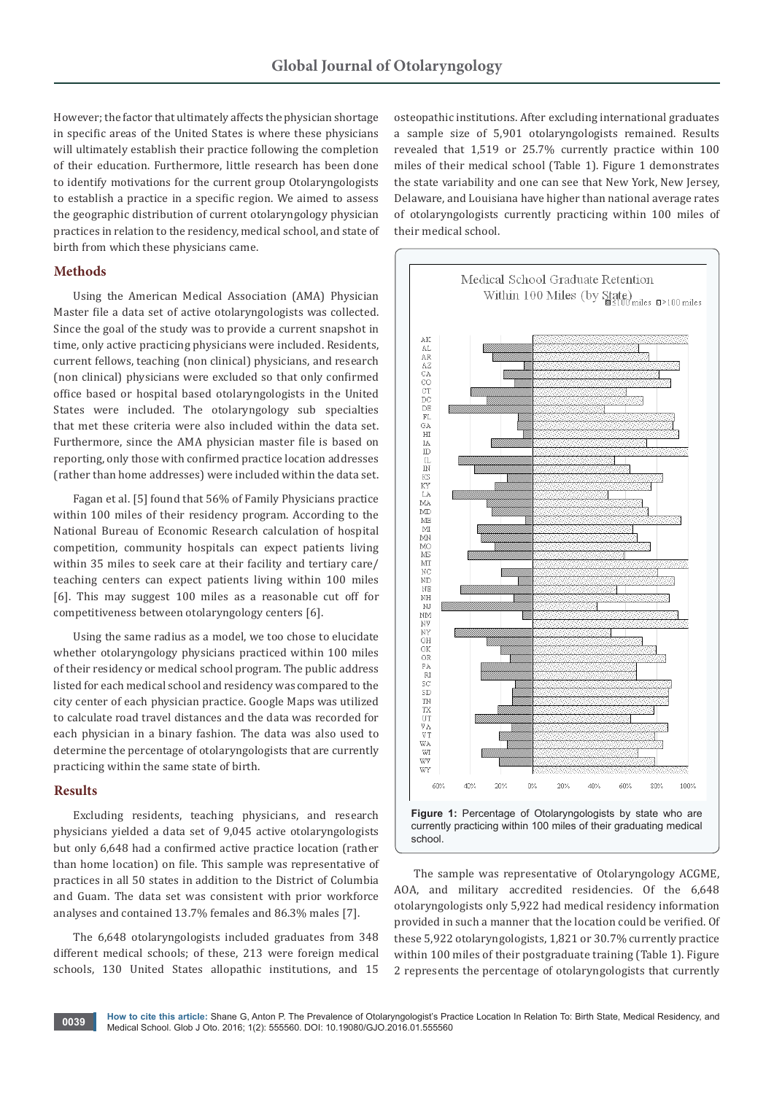However; the factor that ultimately affects the physician shortage in specific areas of the United States is where these physicians will ultimately establish their practice following the completion of their education. Furthermore, little research has been done to identify motivations for the current group Otolaryngologists to establish a practice in a specific region. We aimed to assess the geographic distribution of current otolaryngology physician practices in relation to the residency, medical school, and state of birth from which these physicians came.

## **Methods**

Using the American Medical Association (AMA) Physician Master file a data set of active otolaryngologists was collected. Since the goal of the study was to provide a current snapshot in time, only active practicing physicians were included. Residents, current fellows, teaching (non clinical) physicians, and research (non clinical) physicians were excluded so that only confirmed office based or hospital based otolaryngologists in the United States were included. The otolaryngology sub specialties that met these criteria were also included within the data set. Furthermore, since the AMA physician master file is based on reporting, only those with confirmed practice location addresses (rather than home addresses) were included within the data set.

Fagan et al. [5] found that 56% of Family Physicians practice within 100 miles of their residency program. According to the National Bureau of Economic Research calculation of hospital competition, community hospitals can expect patients living within 35 miles to seek care at their facility and tertiary care/ teaching centers can expect patients living within 100 miles [6]. This may suggest 100 miles as a reasonable cut off for competitiveness between otolaryngology centers [6].

Using the same radius as a model, we too chose to elucidate whether otolaryngology physicians practiced within 100 miles of their residency or medical school program. The public address listed for each medical school and residency was compared to the city center of each physician practice. Google Maps was utilized to calculate road travel distances and the data was recorded for each physician in a binary fashion. The data was also used to determine the percentage of otolaryngologists that are currently practicing within the same state of birth.

## **Results**

Excluding residents, teaching physicians, and research physicians yielded a data set of 9,045 active otolaryngologists but only 6,648 had a confirmed active practice location (rather than home location) on file. This sample was representative of practices in all 50 states in addition to the District of Columbia and Guam. The data set was consistent with prior workforce analyses and contained 13.7% females and 86.3% males [7].

The 6,648 otolaryngologists included graduates from 348 different medical schools; of these, 213 were foreign medical schools, 130 United States allopathic institutions, and 15 osteopathic institutions. After excluding international graduates a sample size of 5,901 otolaryngologists remained. Results revealed that 1,519 or 25.7% currently practice within 100 miles of their medical school (Table 1). Figure 1 demonstrates the state variability and one can see that New York, New Jersey, Delaware, and Louisiana have higher than national average rates of otolaryngologists currently practicing within 100 miles of their medical school.





The sample was representative of Otolaryngology ACGME, AOA, and military accredited residencies. Of the 6,648 otolaryngologists only 5,922 had medical residency information provided in such a manner that the location could be verified. Of these 5,922 otolaryngologists, 1,821 or 30.7% currently practice within 100 miles of their postgraduate training (Table 1). Figure 2 represents the percentage of otolaryngologists that currently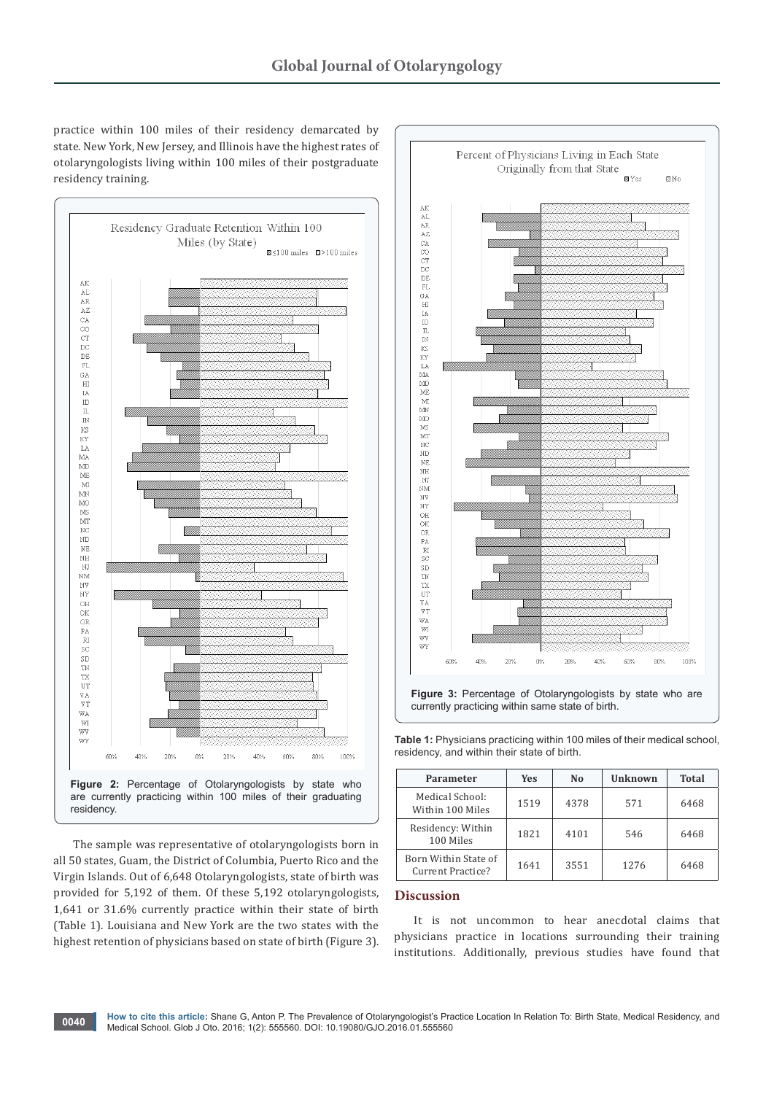practice within 100 miles of their residency demarcated by state. New York, New Jersey, and Illinois have the highest rates of otolaryngologists living within 100 miles of their postgraduate residency training.



The sample was representative of otolaryngologists born in all 50 states, Guam, the District of Columbia, Puerto Rico and the Virgin Islands. Out of 6,648 Otolaryngologists, state of birth was provided for 5,192 of them. Of these 5,192 otolaryngologists, 1,641 or 31.6% currently practice within their state of birth (Table 1). Louisiana and New York are the two states with the highest retention of physicians based on state of birth (Figure 3).



currently practicing within same state of birth.

**Table 1:** Physicians practicing within 100 miles of their medical school, residency, and within their state of birth.

| Parameter                                 | <b>Yes</b> | No   | Unknown | <b>Total</b> |
|-------------------------------------------|------------|------|---------|--------------|
| Medical School:<br>Within 100 Miles       | 1519       | 4378 | 571     | 6468         |
| Residency: Within<br>100 Miles            | 1821       | 4101 | 546     | 6468         |
| Born Within State of<br>Current Practice? | 1641       | 3551 | 1276    | 6468         |

## **Discussion**

It is not uncommon to hear anecdotal claims that physicians practice in locations surrounding their training institutions. Additionally, previous studies have found that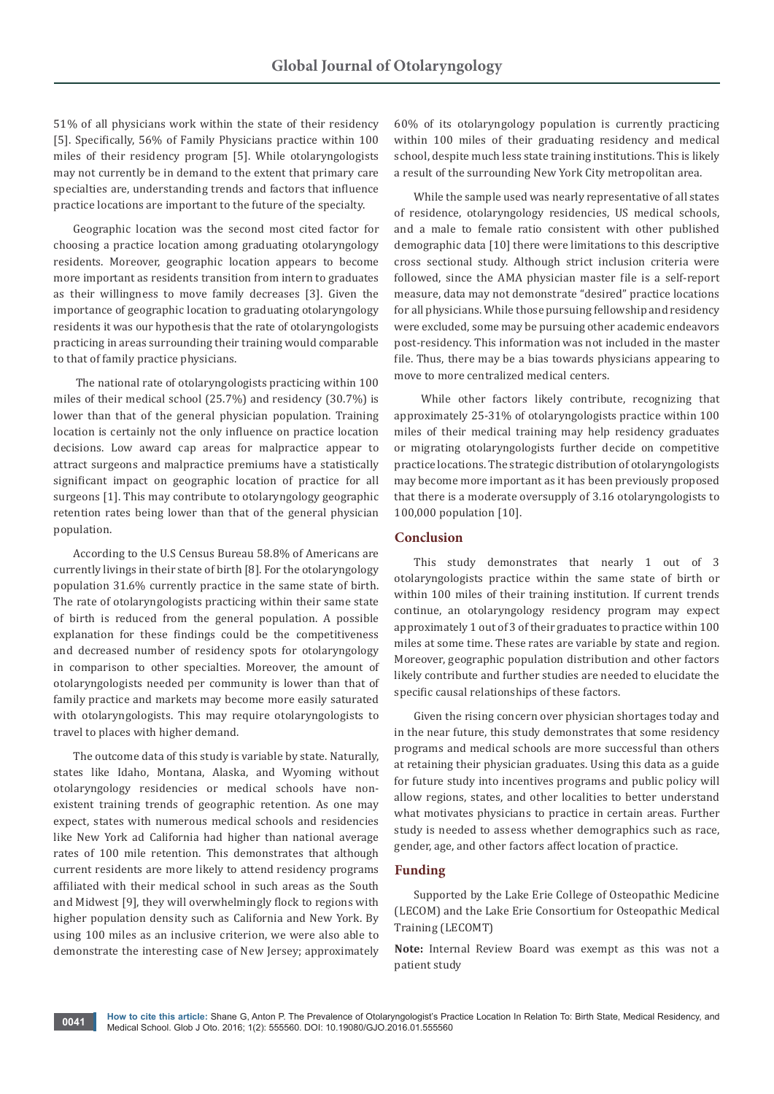51% of all physicians work within the state of their residency [5]. Specifically, 56% of Family Physicians practice within 100 miles of their residency program [5]. While otolaryngologists may not currently be in demand to the extent that primary care specialties are, understanding trends and factors that influence practice locations are important to the future of the specialty.

Geographic location was the second most cited factor for choosing a practice location among graduating otolaryngology residents. Moreover, geographic location appears to become more important as residents transition from intern to graduates as their willingness to move family decreases [3]. Given the importance of geographic location to graduating otolaryngology residents it was our hypothesis that the rate of otolaryngologists practicing in areas surrounding their training would comparable to that of family practice physicians.

 The national rate of otolaryngologists practicing within 100 miles of their medical school (25.7%) and residency (30.7%) is lower than that of the general physician population. Training location is certainly not the only influence on practice location decisions. Low award cap areas for malpractice appear to attract surgeons and malpractice premiums have a statistically significant impact on geographic location of practice for all surgeons [1]. This may contribute to otolaryngology geographic retention rates being lower than that of the general physician population.

According to the U.S Census Bureau 58.8% of Americans are currently livings in their state of birth [8]. For the otolaryngology population 31.6% currently practice in the same state of birth. The rate of otolaryngologists practicing within their same state of birth is reduced from the general population. A possible explanation for these findings could be the competitiveness and decreased number of residency spots for otolaryngology in comparison to other specialties. Moreover, the amount of otolaryngologists needed per community is lower than that of family practice and markets may become more easily saturated with otolaryngologists. This may require otolaryngologists to travel to places with higher demand.

The outcome data of this study is variable by state. Naturally, states like Idaho, Montana, Alaska, and Wyoming without otolaryngology residencies or medical schools have nonexistent training trends of geographic retention. As one may expect, states with numerous medical schools and residencies like New York ad California had higher than national average rates of 100 mile retention. This demonstrates that although current residents are more likely to attend residency programs affiliated with their medical school in such areas as the South and Midwest [9], they will overwhelmingly flock to regions with higher population density such as California and New York. By using 100 miles as an inclusive criterion, we were also able to demonstrate the interesting case of New Jersey; approximately

60% of its otolaryngology population is currently practicing within 100 miles of their graduating residency and medical school, despite much less state training institutions. This is likely a result of the surrounding New York City metropolitan area.

While the sample used was nearly representative of all states of residence, otolaryngology residencies, US medical schools, and a male to female ratio consistent with other published demographic data [10] there were limitations to this descriptive cross sectional study. Although strict inclusion criteria were followed, since the AMA physician master file is a self-report measure, data may not demonstrate "desired" practice locations for all physicians. While those pursuing fellowship and residency were excluded, some may be pursuing other academic endeavors post-residency. This information was not included in the master file. Thus, there may be a bias towards physicians appearing to move to more centralized medical centers.

 While other factors likely contribute, recognizing that approximately 25-31% of otolaryngologists practice within 100 miles of their medical training may help residency graduates or migrating otolaryngologists further decide on competitive practice locations. The strategic distribution of otolaryngologists may become more important as it has been previously proposed that there is a moderate oversupply of 3.16 otolaryngologists to 100,000 population [10].

## **Conclusion**

This study demonstrates that nearly 1 out of 3 otolaryngologists practice within the same state of birth or within 100 miles of their training institution. If current trends continue, an otolaryngology residency program may expect approximately 1 out of 3 of their graduates to practice within 100 miles at some time. These rates are variable by state and region. Moreover, geographic population distribution and other factors likely contribute and further studies are needed to elucidate the specific causal relationships of these factors.

Given the rising concern over physician shortages today and in the near future, this study demonstrates that some residency programs and medical schools are more successful than others at retaining their physician graduates. Using this data as a guide for future study into incentives programs and public policy will allow regions, states, and other localities to better understand what motivates physicians to practice in certain areas. Further study is needed to assess whether demographics such as race, gender, age, and other factors affect location of practice.

#### **Funding**

Supported by the Lake Erie College of Osteopathic Medicine (LECOM) and the Lake Erie Consortium for Osteopathic Medical Training (LECOMT)

**Note:** Internal Review Board was exempt as this was not a patient study